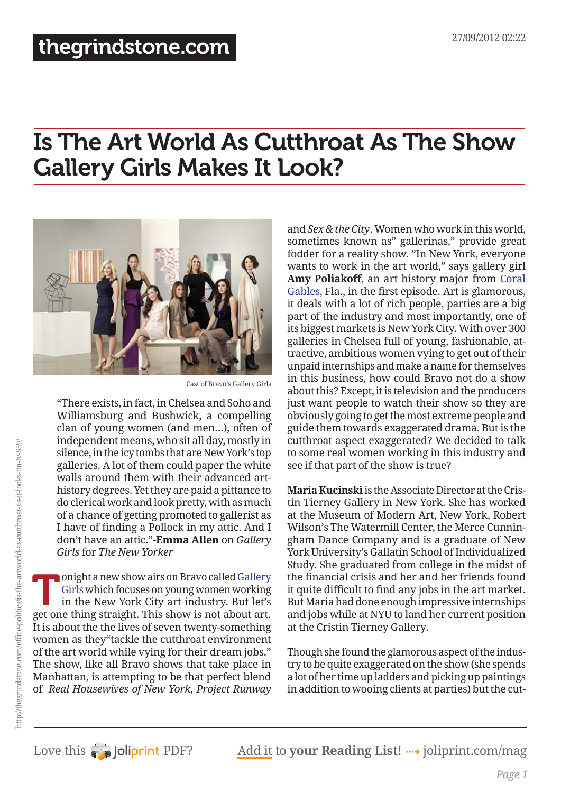# Is The Art World As Cutthroat As The Show Gallery Girls Makes It Look?



Cast of Bravo's Gallery Girls

"There exists, in fact, in Chelsea and Soho and Williamsburg and Bushwick, a compelling clan of young women (and men…), often of independent means, who sit all day, mostly in silence, in the icy tombs that are New York's top galleries. A lot of them could paper the white walls around them with their advanced arthistory degrees. Yet they are paid a pittance to do clerical work and look pretty, with as much of a chance of getting promoted to gallerist as I have of finding a Pollock in my attic. And I don't have an attic."-**Emma Allen** on *Gallery Girls* for *The New Yorker*

Tonight a new show airs on Bravo called <u>Gallery<br>Girls</u> which focuses on young women working<br>in the New York City art industry. But let's<br>got one thing straight. This show is not about art [Girls](http://www.bravotv.com/gallery-girls/) which focuses on young women working in the New York City art industry. But let's get one thing straight. This show is not about art. It is about the the lives of seven twenty-something women as they"tackle the cutthroat environment of the art world while vying for their dream jobs." The show, like all Bravo shows that take place in Manhattan, is attempting to be that perfect blend of *Real Housewives of New York, Project Runway*

and *Sex & the City*. Women who work in this world, sometimes known as" gallerinas," provide great fodder for a reality show. "In New York, everyone wants to work in the art world," says gallery girl Amy Poliakoff, an art history major from [Coral](http://content.usatoday.com/topics/topic/Coral+Gables) [Gables](http://content.usatoday.com/topics/topic/Coral+Gables), Fla., in the first episode. Art is glamorous, it deals with a lot of rich people, parties are a big part of the industry and most importantly, one of its biggest markets is New York City. With over 300 galleries in Chelsea full of young, fashionable, attractive, ambitious women vying to get out of their unpaid internships and make a name for themselves in this business, how could Bravo not do a show about this? Except, it is television and the producers just want people to watch their show so they are obviously going to get the most extreme people and guide them towards exaggerated drama. But is the cutthroat aspect exaggerated? We decided to talk to some real women working in this industry and see if that part of the show is true?

**Maria Kucinski** is the Associate Director at the Cristin Tierney Gallery in New York. She has worked at the Museum of Modern Art, New York, Robert Wilson's The Watermill Center, the Merce Cunningham Dance Company and is a graduate of New York University's Gallatin School of Individualized Study. She graduated from college in the midst of the financial crisis and her and her friends found it quite difficult to find any jobs in the art market. But Maria had done enough impressive internships and jobs while at NYU to land her current position at the Cristin Tierney Gallery.

Though she found the glamorous aspect of the industry to be quite exaggerated on the show (she spends a lot of her time up ladders and picking up paintings in addition to wooing clients at parties) but the cut-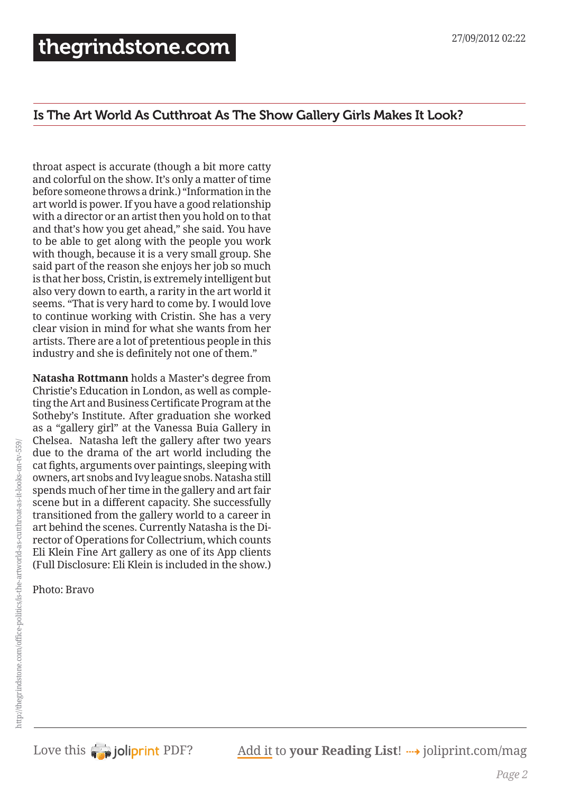#### Is The Art World As Cutthroat As The Show Gallery Girls Makes It Look?

throat aspect is accurate (though a bit more catty and colorful on the show. It's only a matter of time before someone throws a drink.) "Information in the art world is power. If you have a good relationship with a director or an artist then you hold on to that and that's how you get ahead," she said. You have to be able to get along with the people you work with though, because it is a very small group. She said part of the reason she enjoys her job so much is that her boss, Cristin, is extremely intelligent but also very down to earth, a rarity in the art world it seems. "That is very hard to come by. I would love to continue working with Cristin. She has a very clear vision in mind for what she wants from her artists. There are a lot of pretentious people in this industry and she is definitely not one of them."

**Natasha Rottmann** holds a Master's degree from Christie's Education in London, as well as completing the Art and Business Certificate Program at the Sotheby's Institute. After graduation she worked as a "gallery girl" at the Vanessa Buia Gallery in Chelsea. Natasha left the gallery after two years due to the drama of the art world including the cat fights, arguments over paintings, sleeping with owners, art snobs and Ivy league snobs. Natasha still spends much of her time in the gallery and art fair scene but in a different capacity. She successfully transitioned from the gallery world to a career in art behind the scenes. Currently Natasha is the Director of Operations for Collectrium, which counts Eli Klein Fine Art gallery as one of its App clients (Full Disclosure: Eli Klein is included in the show.)

Photo: Bravo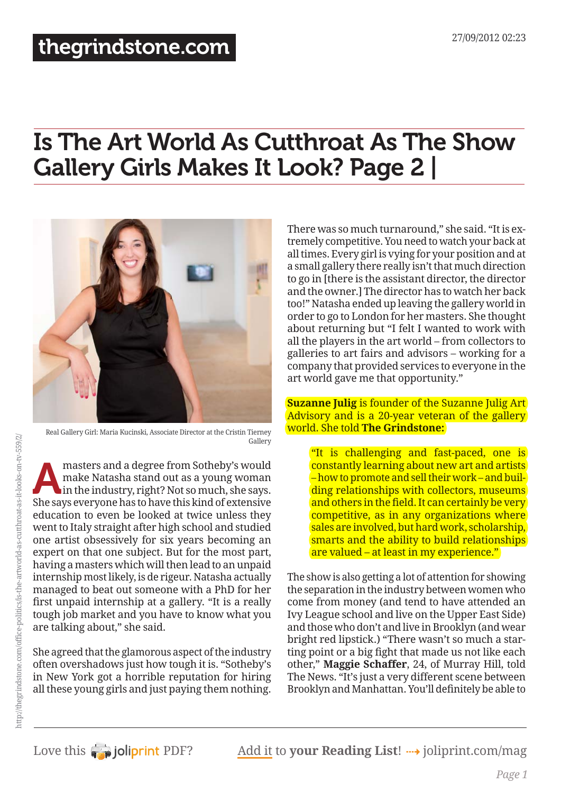## [thegrindstone.com](http://thegrindstone.com/)

# Is The Art World As Cutthroat As The Show Gallery Girls Makes It Look? Page 2 |



Real Gallery Girl: Maria Kucinski, Associate Director at the Cristin Tierney Gallery

masters and a degree from Sotheby's would<br>
in the industry, right? Not so much, she says.<br>
She says averyone has to have this kind of extensive make Natasha stand out as a young woman She says everyone has to have this kind of extensive education to even be looked at twice unless they went to Italy straight after high school and studied one artist obsessively for six years becoming an expert on that one subject. But for the most part, having a masters which will then lead to an unpaid internship most likely, is de rigeur. Natasha actually managed to beat out someone with a PhD for her first unpaid internship at a gallery. "It is a really tough job market and you have to know what you are talking about," she said.

She agreed that the glamorous aspect of the industry often overshadows just how tough it is. "Sotheby's in New York got a horrible reputation for hiring all these young girls and just paying them nothing.

There was so much turnaround," she said. "It is extremely competitive. You need to watch your back at all times. Every girl is vying for your position and at a small gallery there really isn't that much direction to go in [there is the assistant director, the director and the owner.] The director has to watch her back too!" Natasha ended up leaving the gallery world in order to go to London for her masters. She thought about returning but "I felt I wanted to work with all the players in the art world – from collectors to galleries to art fairs and advisors – working for a company that provided services to everyone in the art world gave me that opportunity."

#### **Suzanne Julig** is founder of the Suzanne Julig Art Advisory and is a 20-year veteran of the gallery world. She told **The Grindstone:**

"It is challenging and fast-paced, one is constantly learning about new art and artists – how to promote and sell their work – and building relationships with collectors, museums and others in the field. It can certainly be very competitive, as in any organizations where sales are involved, but hard work, scholarship, smarts and the ability to build relationships are valued – at least in my experience."

The show is also getting a lot of attention for showing the separation in the industry between women who come from money (and tend to have attended an Ivy League school and live on the Upper East Side) and those who don't and live in Brooklyn (and wear bright red lipstick.) "There wasn't so much a starting point or a big fight that made us not like each other," **Maggie Schaffer**, 24, of Murray Hill, told The News. "It's just a very different scene between Brooklyn and Manhattan. You'll definitely be able to